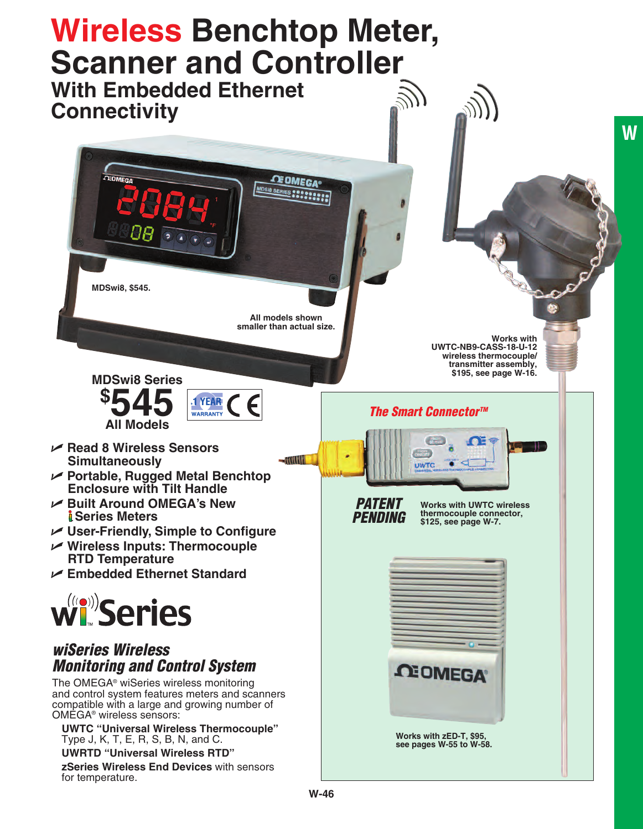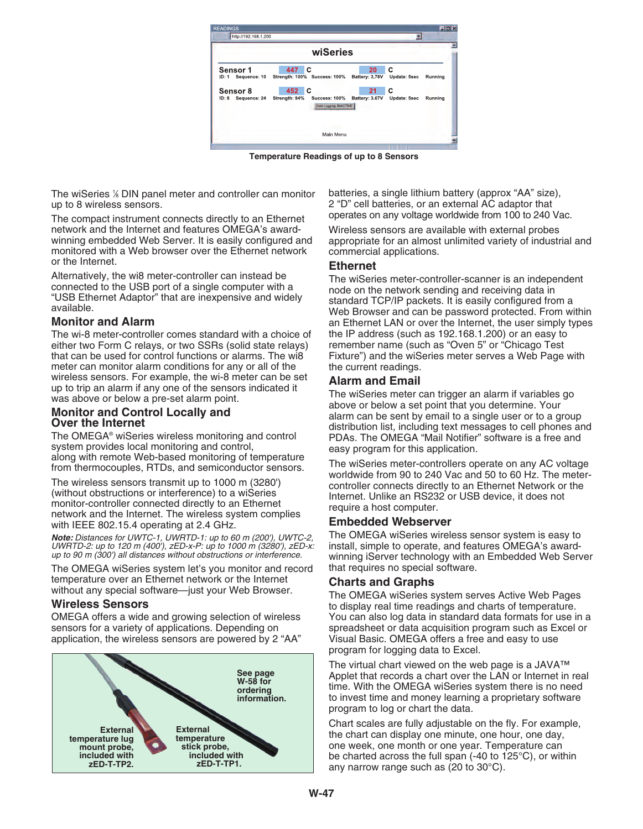

**Temperature Readings of up to 8 Sensors**

The wiSeries 1 ⁄8 DIN panel meter and controller can monitor up to 8 wireless sensors.

The compact instrument connects directly to an Ethernet network and the Internet and features OMEGA's awardwinning embedded Web Server. It is easily configured and monitored with a Web browser over the Ethernet network or the Internet.

Alternatively, the wi8 meter-controller can instead be connected to the USB port of a single computer with a "USB Ethernet Adaptor" that are inexpensive and widely available.

## **Monitor and Alarm**

The wi-8 meter-controller comes standard with a choice of either two Form C relays, or two SSRs (solid state relays) that can be used for control functions or alarms. The wi8 meter can monitor alarm conditions for any or all of the wireless sensors. For example, the wi-8 meter can be set up to trip an alarm if any one of the sensors indicated it was above or below a pre-set alarm point.

### **Monitor and Control Locally and Over the Internet**

The OMEGA® wiSeries wireless monitoring and control system provides local monitoring and control, along with remote Web-based monitoring of temperature from thermocouples, RTDs, and semiconductor sensors.

The wireless sensors transmit up to 1000 m (3280') (without obstructions or interference) to a wiSeries monitor-controller connected directly to an Ethernet network and the Internet. The wireless system complies with IEEE 802.15.4 operating at 2.4 GHz.

*Note: Distances for UWTC-1, UWRTD-1: up to 60 m (200'), UWTC-2, UWRTD-2: up to 120 m (400'), zED-x-P: up to 1000 m (3280'), zED-x: up to 90 m (300') all distances without obstructions or interference.*

The OMEGA wiSeries system let's you monitor and record temperature over an Ethernet network or the Internet without any special software—just your Web Browser.

## **Wireless Sensors**

OMEGA offers a wide and growing selection of wireless sensors for a variety of applications. Depending on application, the wireless sensors are powered by 2 "AA"



batteries, a single lithium battery (approx "AA" size), 2 "D" cell batteries, or an external AC adaptor that operates on any voltage worldwide from 100 to 240 Vac.

Wireless sensors are available with external probes appropriate for an almost unlimited variety of industrial and commercial applications.

## **Ethernet**

The wiSeries meter-controller-scanner is an independent node on the network sending and receiving data in standard TCP/IP packets. It is easily configured from a Web Browser and can be password protected. From within an Ethernet LAN or over the Internet, the user simply types the IP address (such as 192.168.1.200) or an easy to remember name (such as "Oven 5" or "Chicago Test Fixture") and the wiSeries meter serves a Web Page with the current readings.

## **Alarm and Email**

The wiSeries meter can trigger an alarm if variables go above or below a set point that you determine. Your alarm can be sent by email to a single user or to a group distribution list, including text messages to cell phones and PDAs. The OMEGA "Mail Notifier" software is a free and easy program for this application.

The wiSeries meter-controllers operate on any AC voltage worldwide from 90 to 240 Vac and 50 to 60 Hz. The metercontroller connects directly to an Ethernet Network or the Internet. Unlike an RS232 or USB device, it does not require a host computer.

### **Embedded Webserver**

The OMEGA wiSeries wireless sensor system is easy to install, simple to operate, and features OMEGA's awardwinning iServer technology with an Embedded Web Server that requires no special software.

### **Charts and Graphs**

The OMEGA wiSeries system serves Active Web Pages to display real time readings and charts of temperature. You can also log data in standard data formats for use in a spreadsheet or data acquisition program such as Excel or Visual Basic. OMEGA offers a free and easy to use program for logging data to Excel.

The virtual chart viewed on the web page is a JAVA™ Applet that records a chart over the LAN or Internet in real time. With the OMEGA wiSeries system there is no need to invest time and money learning a proprietary software program to log or chart the data.

Chart scales are fully adjustable on the fly. For example, the chart can display one minute, one hour, one day, one week, one month or one year. Temperature can be charted across the full span (-40 to 125°C), or within any narrow range such as (20 to 30°C).